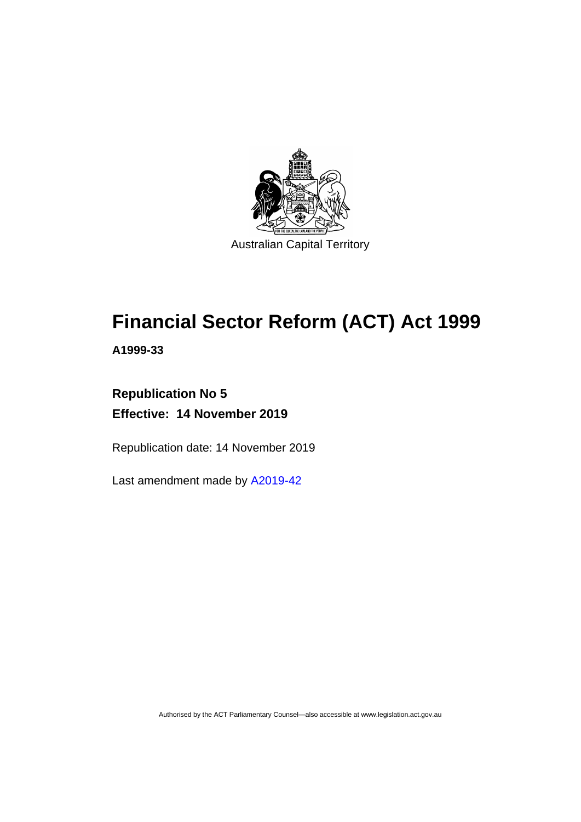

# **Financial Sector Reform (ACT) Act 1999**

**A1999-33**

# **Republication No 5 Effective: 14 November 2019**

Republication date: 14 November 2019

Last amendment made by [A2019-42](http://www.legislation.act.gov.au/a/2019-42/default.asp)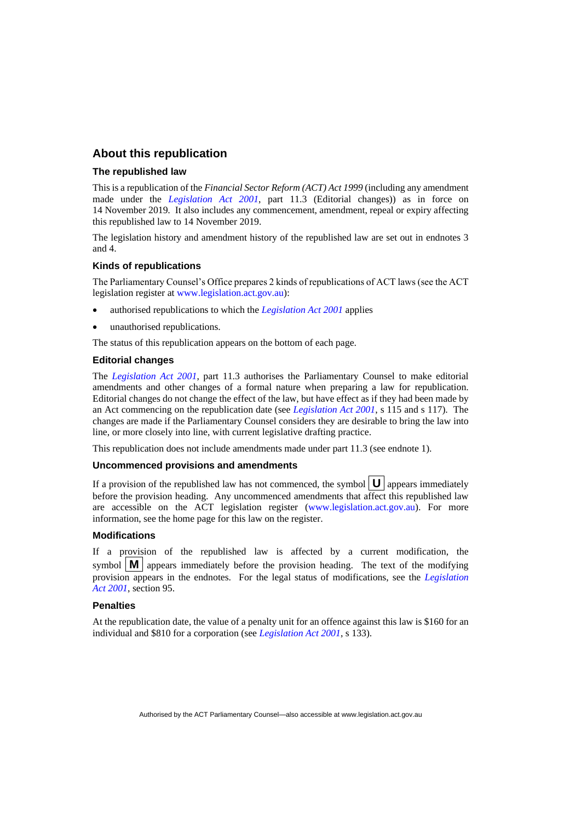# **About this republication**

#### **The republished law**

This is a republication of the *Financial Sector Reform (ACT) Act 1999* (including any amendment made under the *[Legislation Act 2001](http://www.legislation.act.gov.au/a/2001-14)*, part 11.3 (Editorial changes)) as in force on 14 November 2019*.* It also includes any commencement, amendment, repeal or expiry affecting this republished law to 14 November 2019.

The legislation history and amendment history of the republished law are set out in endnotes 3 and 4.

#### **Kinds of republications**

The Parliamentary Counsel's Office prepares 2 kinds of republications of ACT laws (see the ACT legislation register at [www.legislation.act.gov.au\)](http://www.legislation.act.gov.au/):

- authorised republications to which the *[Legislation Act 2001](http://www.legislation.act.gov.au/a/2001-14)* applies
- unauthorised republications.

The status of this republication appears on the bottom of each page.

#### **Editorial changes**

The *[Legislation Act 2001](http://www.legislation.act.gov.au/a/2001-14)*, part 11.3 authorises the Parliamentary Counsel to make editorial amendments and other changes of a formal nature when preparing a law for republication. Editorial changes do not change the effect of the law, but have effect as if they had been made by an Act commencing on the republication date (see *[Legislation Act 2001](http://www.legislation.act.gov.au/a/2001-14)*, s 115 and s 117). The changes are made if the Parliamentary Counsel considers they are desirable to bring the law into line, or more closely into line, with current legislative drafting practice.

This republication does not include amendments made under part 11.3 (see endnote 1).

#### **Uncommenced provisions and amendments**

If a provision of the republished law has not commenced, the symbol  $|\mathbf{U}|$  appears immediately before the provision heading. Any uncommenced amendments that affect this republished law are accessible on the ACT legislation register [\(www.legislation.act.gov.au\)](http://www.legislation.act.gov.au/). For more information, see the home page for this law on the register.

#### **Modifications**

If a provision of the republished law is affected by a current modification, the symbol  $\mathbf{M}$  appears immediately before the provision heading. The text of the modifying provision appears in the endnotes. For the legal status of modifications, see the *[Legislation](http://www.legislation.act.gov.au/a/2001-14)  Act [2001](http://www.legislation.act.gov.au/a/2001-14)*, section 95.

#### **Penalties**

At the republication date, the value of a penalty unit for an offence against this law is \$160 for an individual and \$810 for a corporation (see *[Legislation Act 2001](http://www.legislation.act.gov.au/a/2001-14)*, s 133).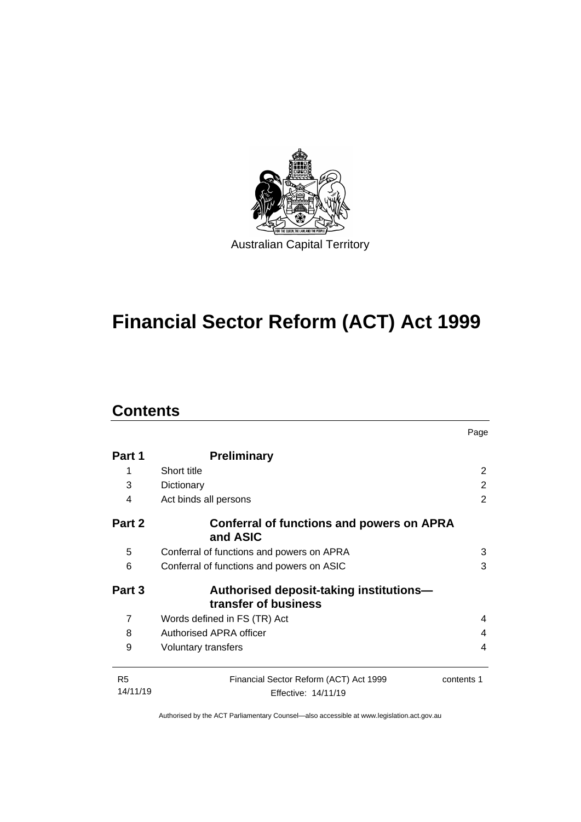

# **Financial Sector Reform (ACT) Act 1999**

# **Contents**

|                            |                                                                 | Page           |
|----------------------------|-----------------------------------------------------------------|----------------|
| Part 1                     | <b>Preliminary</b>                                              |                |
| 1                          | Short title                                                     | 2              |
| 3                          | Dictionary                                                      | 2              |
| 4                          | Act binds all persons                                           | $\overline{2}$ |
| Part 2                     | Conferral of functions and powers on APRA<br>and ASIC           |                |
| 5                          | Conferral of functions and powers on APRA                       | 3              |
| 6                          | Conferral of functions and powers on ASIC                       | 3              |
| Part 3                     | Authorised deposit-taking institutions-<br>transfer of business |                |
| $\overline{7}$             | Words defined in FS (TR) Act                                    | 4              |
| 8                          | Authorised APRA officer                                         | 4              |
| 9                          | Voluntary transfers                                             | 4              |
| R <sub>5</sub><br>14/11/19 | Financial Sector Reform (ACT) Act 1999<br>Effective: 14/11/19   | contents 1     |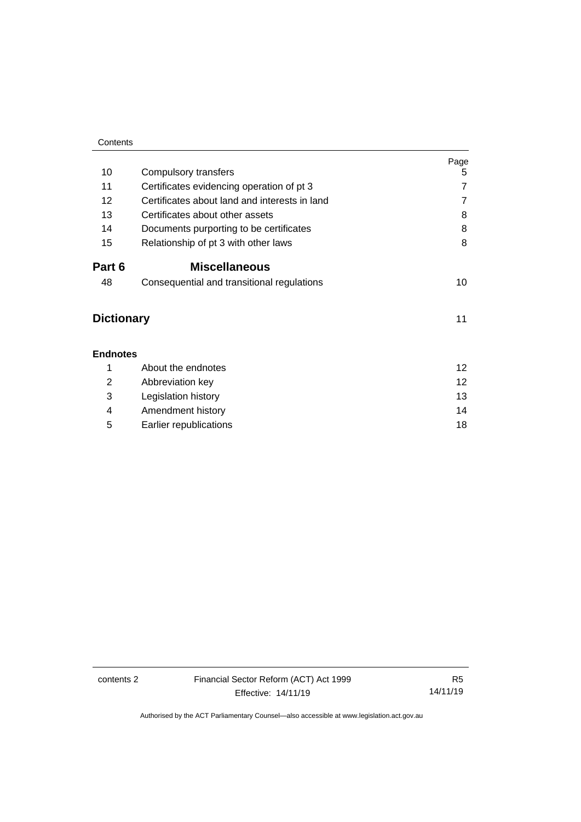| Contents          |                                               |                |
|-------------------|-----------------------------------------------|----------------|
| 10                | Compulsory transfers                          | Page<br>5      |
| 11                | Certificates evidencing operation of pt 3     | $\overline{7}$ |
| 12                | Certificates about land and interests in land | $\overline{7}$ |
| 13                | Certificates about other assets               | 8              |
| 14                | Documents purporting to be certificates       | 8              |
| 15                | Relationship of pt 3 with other laws          | 8              |
| Part 6            | <b>Miscellaneous</b>                          |                |
| 48                | Consequential and transitional regulations    | 10             |
| <b>Dictionary</b> |                                               | 11             |
| <b>Endnotes</b>   |                                               |                |
| 1                 | About the endnotes                            | 12             |
| 2                 | Abbreviation key                              | 12             |
| 3                 | Legislation history                           | 13             |
| 4                 | Amendment history                             | 14             |
| 5                 | Earlier republications                        | 18             |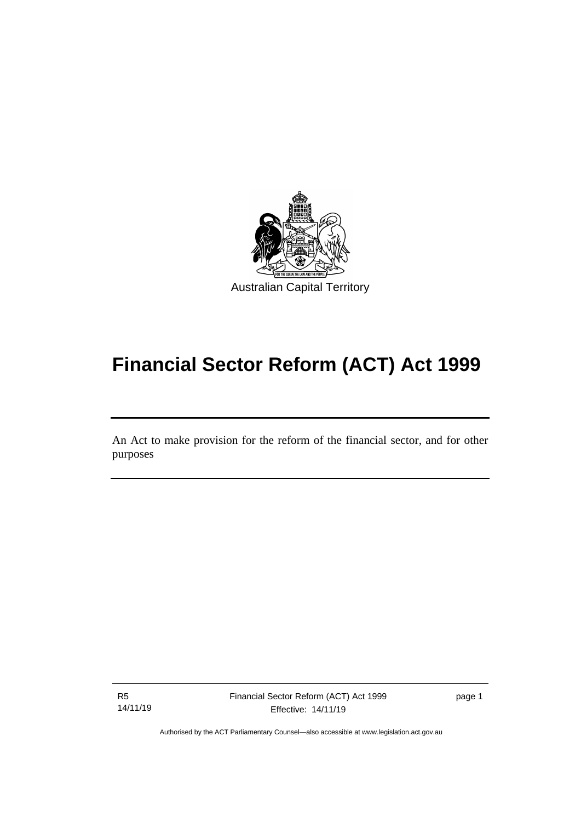

# **Financial Sector Reform (ACT) Act 1999**

An Act to make provision for the reform of the financial sector, and for other purposes

R5 14/11/19

I

page 1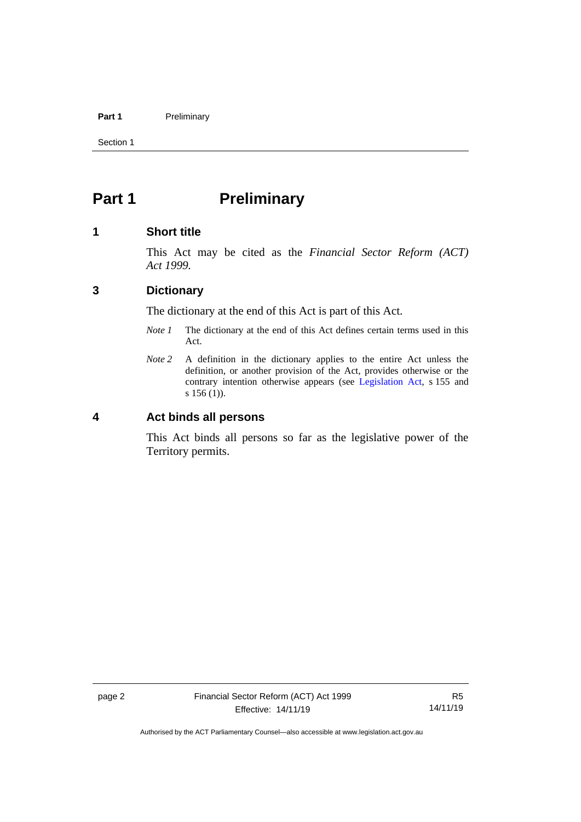### Part 1 **Preliminary**

Section 1

# <span id="page-5-0"></span>**Part 1 Preliminary**

# <span id="page-5-1"></span>**1 Short title**

This Act may be cited as the *Financial Sector Reform (ACT) Act 1999.*

# <span id="page-5-2"></span>**3 Dictionary**

The dictionary at the end of this Act is part of this Act.

- *Note 1* The dictionary at the end of this Act defines certain terms used in this Act.
- *Note 2* A definition in the dictionary applies to the entire Act unless the definition, or another provision of the Act, provides otherwise or the contrary intention otherwise appears (see [Legislation Act,](http://www.legislation.act.gov.au/a/2001-14) s 155 and s 156 (1)).

# <span id="page-5-3"></span>**4 Act binds all persons**

This Act binds all persons so far as the legislative power of the Territory permits.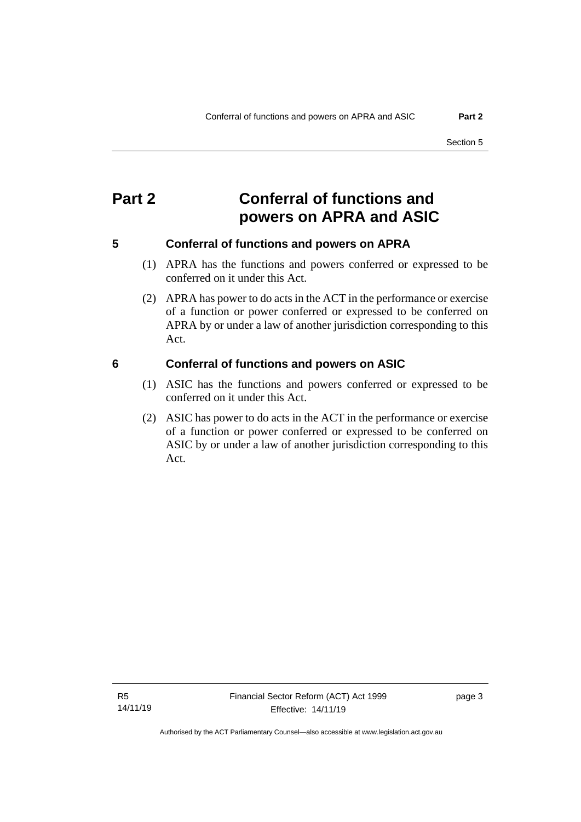# <span id="page-6-0"></span>**Part 2 Conferral of functions and powers on APRA and ASIC**

# <span id="page-6-1"></span>**5 Conferral of functions and powers on APRA**

- (1) APRA has the functions and powers conferred or expressed to be conferred on it under this Act.
- (2) APRA has power to do acts in the ACT in the performance or exercise of a function or power conferred or expressed to be conferred on APRA by or under a law of another jurisdiction corresponding to this Act.

# <span id="page-6-2"></span>**6 Conferral of functions and powers on ASIC**

- (1) ASIC has the functions and powers conferred or expressed to be conferred on it under this Act.
- (2) ASIC has power to do acts in the ACT in the performance or exercise of a function or power conferred or expressed to be conferred on ASIC by or under a law of another jurisdiction corresponding to this Act.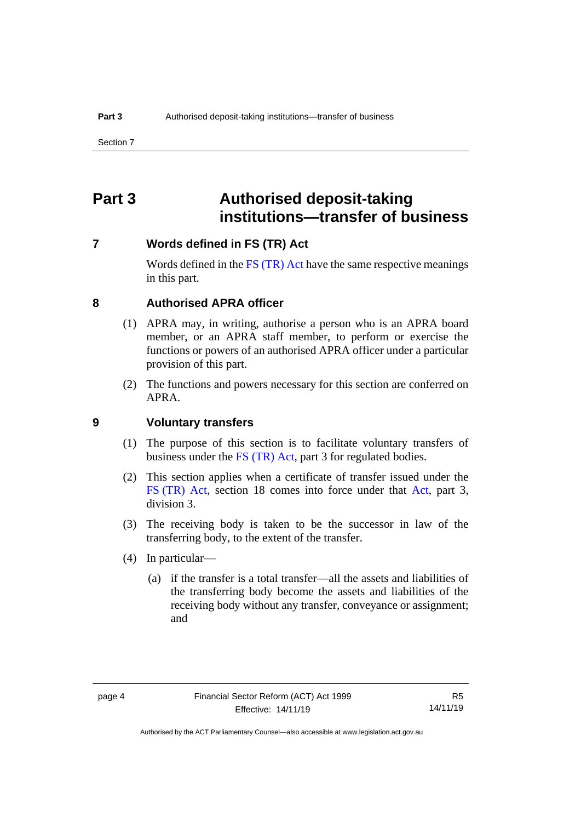# <span id="page-7-0"></span>**Part 3 Authorised deposit-taking institutions—transfer of business**

# <span id="page-7-1"></span>**7 Words defined in FS (TR) Act**

Words defined in the [FS \(TR\) Act](https://www.legislation.gov.au/Series/C2004A00436) have the same respective meanings in this part.

## <span id="page-7-2"></span>**8 Authorised APRA officer**

- (1) APRA may, in writing, authorise a person who is an APRA board member, or an APRA staff member, to perform or exercise the functions or powers of an authorised APRA officer under a particular provision of this part.
- (2) The functions and powers necessary for this section are conferred on APRA.

# <span id="page-7-3"></span>**9 Voluntary transfers**

- (1) The purpose of this section is to facilitate voluntary transfers of business under the [FS \(TR\) Act,](https://www.legislation.gov.au/Series/C2004A00436) part 3 for regulated bodies.
- (2) This section applies when a certificate of transfer issued under the FS [\(TR\) Act,](https://www.legislation.gov.au/Series/C2004A00436) section 18 comes into force under that [Act,](https://www.legislation.gov.au/Series/C2004A00436) part 3, division 3.
- (3) The receiving body is taken to be the successor in law of the transferring body, to the extent of the transfer.
- (4) In particular—
	- (a) if the transfer is a total transfer—all the assets and liabilities of the transferring body become the assets and liabilities of the receiving body without any transfer, conveyance or assignment; and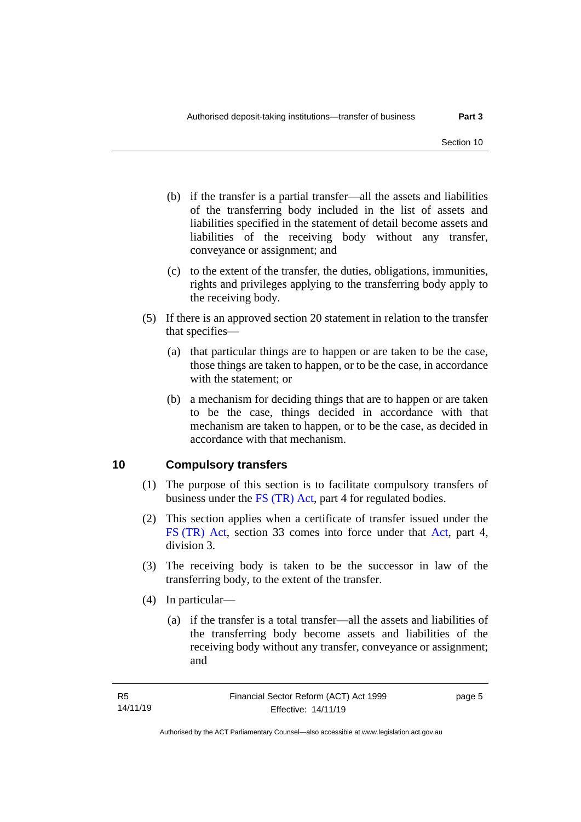- (b) if the transfer is a partial transfer—all the assets and liabilities of the transferring body included in the list of assets and liabilities specified in the statement of detail become assets and liabilities of the receiving body without any transfer, conveyance or assignment; and
- (c) to the extent of the transfer, the duties, obligations, immunities, rights and privileges applying to the transferring body apply to the receiving body.
- (5) If there is an approved section 20 statement in relation to the transfer that specifies—
	- (a) that particular things are to happen or are taken to be the case, those things are taken to happen, or to be the case, in accordance with the statement; or
	- (b) a mechanism for deciding things that are to happen or are taken to be the case, things decided in accordance with that mechanism are taken to happen, or to be the case, as decided in accordance with that mechanism.

# <span id="page-8-0"></span>**10 Compulsory transfers**

- (1) The purpose of this section is to facilitate compulsory transfers of business under the [FS \(TR\) Act,](https://www.legislation.gov.au/Series/C2004A00436) part 4 for regulated bodies.
- (2) This section applies when a certificate of transfer issued under the FS [\(TR\) Act,](https://www.legislation.gov.au/Series/C2004A00436) section 33 comes into force under that [Act,](https://www.legislation.gov.au/Series/C2004A00436) part 4, division 3.
- (3) The receiving body is taken to be the successor in law of the transferring body, to the extent of the transfer.
- (4) In particular—
	- (a) if the transfer is a total transfer—all the assets and liabilities of the transferring body become assets and liabilities of the receiving body without any transfer, conveyance or assignment; and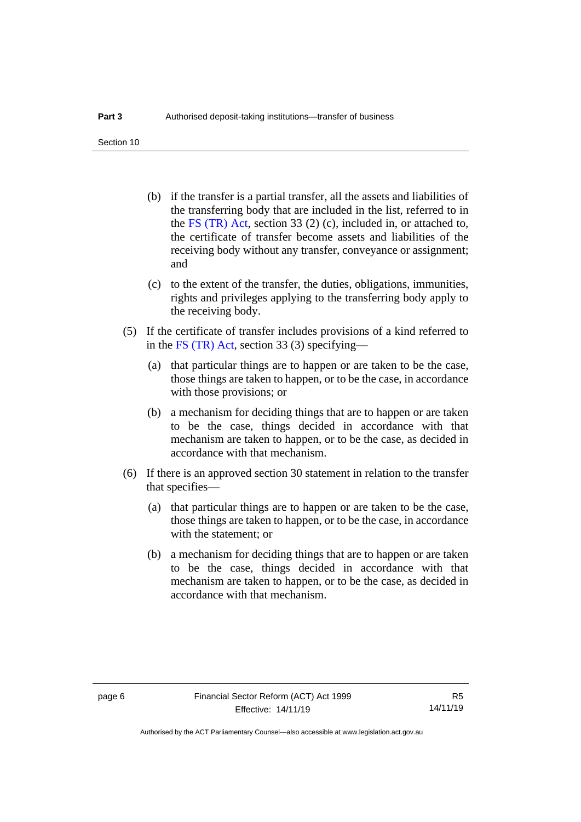Section 10

- (b) if the transfer is a partial transfer, all the assets and liabilities of the transferring body that are included in the list, referred to in the [FS \(TR\) Act,](https://www.legislation.gov.au/Series/C2004A00436) section 33 (2) (c), included in, or attached to, the certificate of transfer become assets and liabilities of the receiving body without any transfer, conveyance or assignment; and
- (c) to the extent of the transfer, the duties, obligations, immunities, rights and privileges applying to the transferring body apply to the receiving body.
- (5) If the certificate of transfer includes provisions of a kind referred to in the [FS \(TR\) Act,](https://www.legislation.gov.au/Series/C2004A00436) section 33 (3) specifying—
	- (a) that particular things are to happen or are taken to be the case, those things are taken to happen, or to be the case, in accordance with those provisions; or
	- (b) a mechanism for deciding things that are to happen or are taken to be the case, things decided in accordance with that mechanism are taken to happen, or to be the case, as decided in accordance with that mechanism.
- (6) If there is an approved section 30 statement in relation to the transfer that specifies—
	- (a) that particular things are to happen or are taken to be the case, those things are taken to happen, or to be the case, in accordance with the statement; or
	- (b) a mechanism for deciding things that are to happen or are taken to be the case, things decided in accordance with that mechanism are taken to happen, or to be the case, as decided in accordance with that mechanism.

Authorised by the ACT Parliamentary Counsel—also accessible at www.legislation.act.gov.au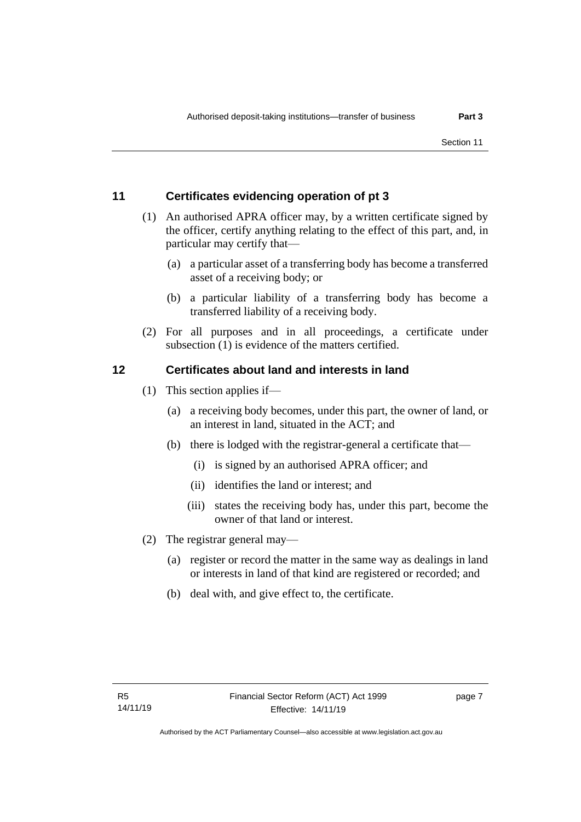# <span id="page-10-0"></span>**11 Certificates evidencing operation of pt 3**

- (1) An authorised APRA officer may, by a written certificate signed by the officer, certify anything relating to the effect of this part, and, in particular may certify that—
	- (a) a particular asset of a transferring body has become a transferred asset of a receiving body; or
	- (b) a particular liability of a transferring body has become a transferred liability of a receiving body.
- (2) For all purposes and in all proceedings, a certificate under subsection (1) is evidence of the matters certified.

# <span id="page-10-1"></span>**12 Certificates about land and interests in land**

- (1) This section applies if—
	- (a) a receiving body becomes, under this part, the owner of land, or an interest in land, situated in the ACT; and
	- (b) there is lodged with the registrar-general a certificate that—
		- (i) is signed by an authorised APRA officer; and
		- (ii) identifies the land or interest; and
		- (iii) states the receiving body has, under this part, become the owner of that land or interest.
- (2) The registrar general may—
	- (a) register or record the matter in the same way as dealings in land or interests in land of that kind are registered or recorded; and
	- (b) deal with, and give effect to, the certificate.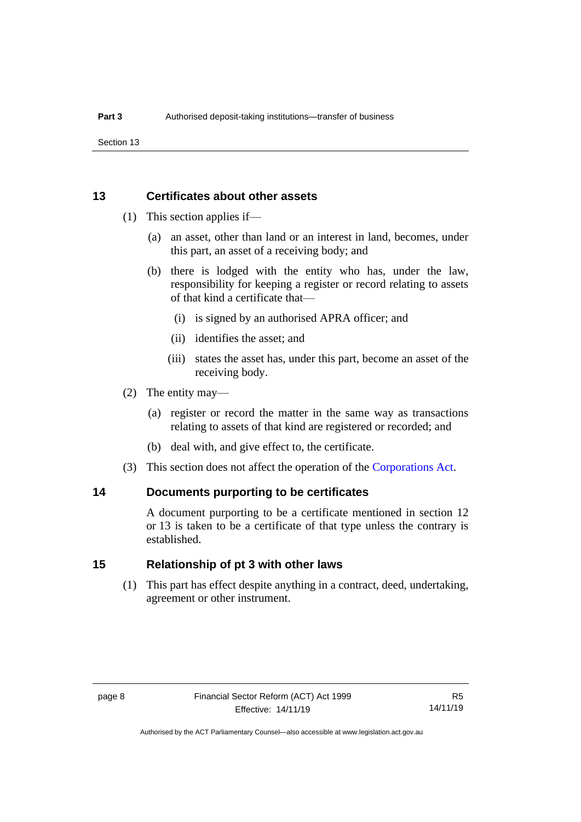Section 13

# <span id="page-11-0"></span>**13 Certificates about other assets**

- (1) This section applies if—
	- (a) an asset, other than land or an interest in land, becomes, under this part, an asset of a receiving body; and
	- (b) there is lodged with the entity who has, under the law, responsibility for keeping a register or record relating to assets of that kind a certificate that—
		- (i) is signed by an authorised APRA officer; and
		- (ii) identifies the asset; and
		- (iii) states the asset has, under this part, become an asset of the receiving body.
- (2) The entity may—
	- (a) register or record the matter in the same way as transactions relating to assets of that kind are registered or recorded; and
	- (b) deal with, and give effect to, the certificate.
- (3) This section does not affect the operation of the [Corporations Act.](http://www.comlaw.gov.au/Series/C2004A00818)

# <span id="page-11-1"></span>**14 Documents purporting to be certificates**

A document purporting to be a certificate mentioned in section 12 or 13 is taken to be a certificate of that type unless the contrary is established.

# <span id="page-11-2"></span>**15 Relationship of pt 3 with other laws**

(1) This part has effect despite anything in a contract, deed, undertaking, agreement or other instrument.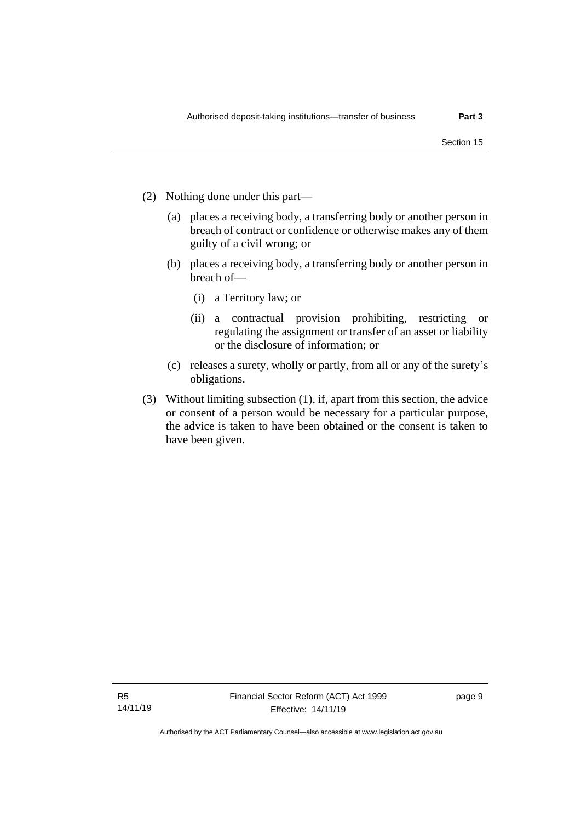- (2) Nothing done under this part—
	- (a) places a receiving body, a transferring body or another person in breach of contract or confidence or otherwise makes any of them guilty of a civil wrong; or
	- (b) places a receiving body, a transferring body or another person in breach of—
		- (i) a Territory law; or
		- (ii) a contractual provision prohibiting, restricting or regulating the assignment or transfer of an asset or liability or the disclosure of information; or
	- (c) releases a surety, wholly or partly, from all or any of the surety's obligations.
- (3) Without limiting subsection (1), if, apart from this section, the advice or consent of a person would be necessary for a particular purpose, the advice is taken to have been obtained or the consent is taken to have been given.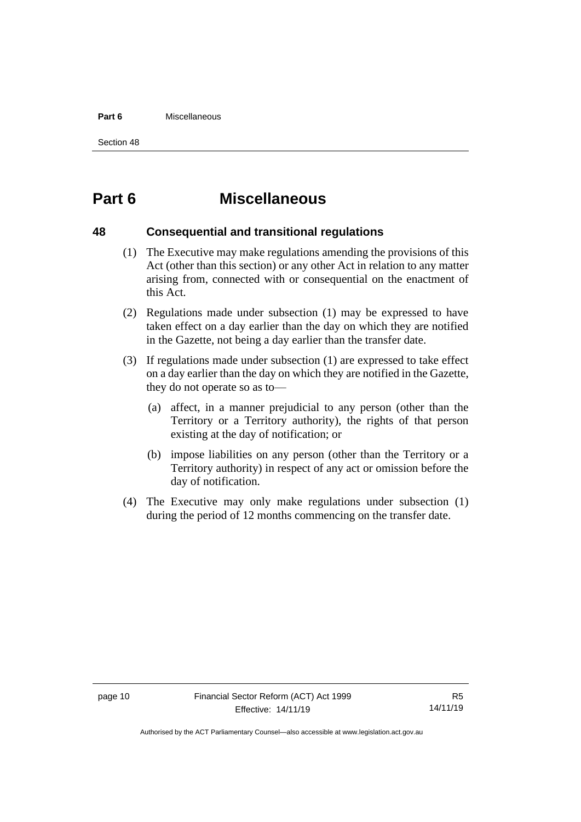#### **Part 6** Miscellaneous

Section 48

# <span id="page-13-0"></span>**Part 6 Miscellaneous**

# <span id="page-13-1"></span>**48 Consequential and transitional regulations**

- (1) The Executive may make regulations amending the provisions of this Act (other than this section) or any other Act in relation to any matter arising from, connected with or consequential on the enactment of this Act.
- (2) Regulations made under subsection (1) may be expressed to have taken effect on a day earlier than the day on which they are notified in the Gazette, not being a day earlier than the transfer date.
- (3) If regulations made under subsection (1) are expressed to take effect on a day earlier than the day on which they are notified in the Gazette, they do not operate so as to—
	- (a) affect, in a manner prejudicial to any person (other than the Territory or a Territory authority), the rights of that person existing at the day of notification; or
	- (b) impose liabilities on any person (other than the Territory or a Territory authority) in respect of any act or omission before the day of notification.
- (4) The Executive may only make regulations under subsection (1) during the period of 12 months commencing on the transfer date.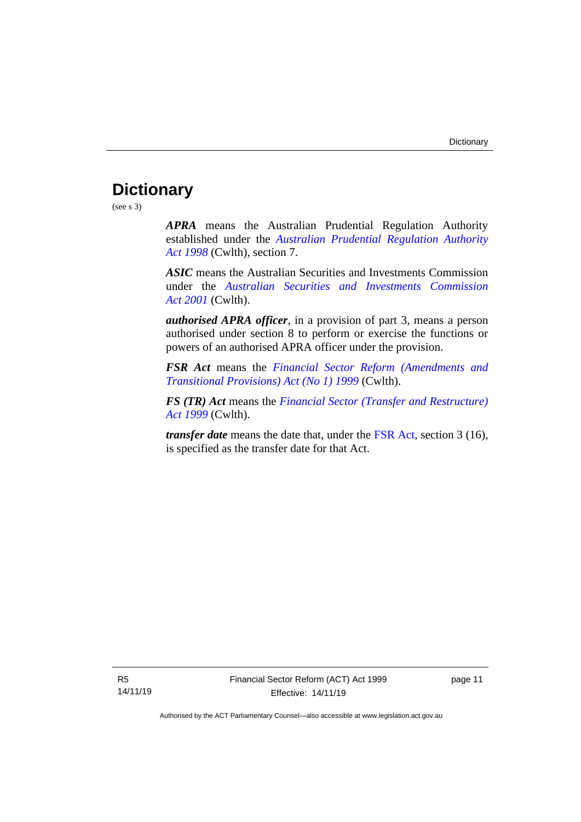# <span id="page-14-0"></span>**Dictionary**

(see s 3)

*APRA* means the Australian Prudential Regulation Authority established under the *[Australian Prudential Regulation Authority](http://www.comlaw.gov.au/Series/C2004A00310)  Act [1998](http://www.comlaw.gov.au/Series/C2004A00310)* (Cwlth), section 7.

*ASIC* means the Australian Securities and Investments Commission under the *[Australian Securities and Investments Commission](http://www.comlaw.gov.au/Series/C2004A00819)  Act [2001](http://www.comlaw.gov.au/Series/C2004A00819)* (Cwlth).

*authorised APRA officer*, in a provision of part 3, means a person authorised under section 8 to perform or exercise the functions or powers of an authorised APRA officer under the provision.

*FSR Act* means the *[Financial Sector Reform \(Amendments and](http://www.comlaw.gov.au/Series/C2004A00435)  [Transitional Provisions\) Act \(No 1\) 1999](http://www.comlaw.gov.au/Series/C2004A00435)* (Cwlth).

*FS (TR) Act* means the *[Financial Sector \(Transfer and Restructure\)](https://www.legislation.gov.au/Series/C2004A00436)  [Act 1999](https://www.legislation.gov.au/Series/C2004A00436)* (Cwlth).

*transfer date* means the date that, under the [FSR Act,](http://www.comlaw.gov.au/Series/C2004A00435) section 3 (16), is specified as the transfer date for that Act.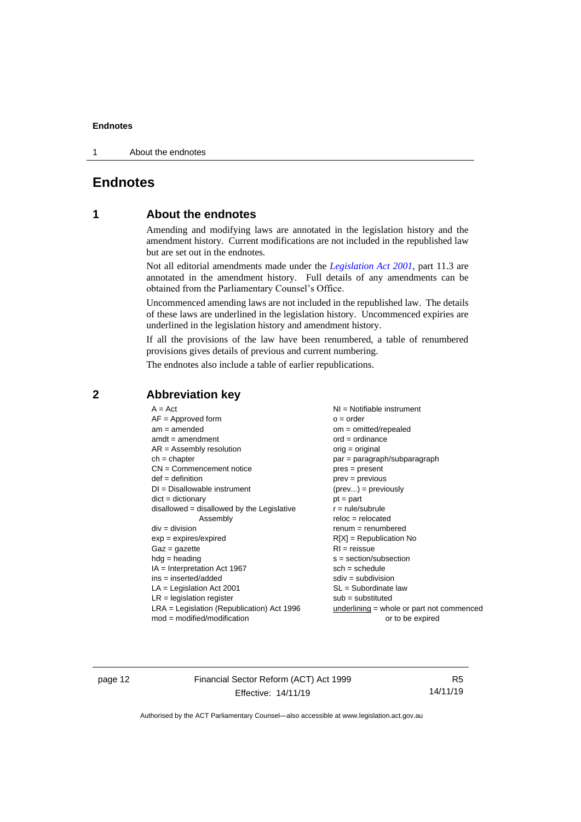1 About the endnotes

# <span id="page-15-1"></span><span id="page-15-0"></span>**Endnotes**

# **1 About the endnotes**

Amending and modifying laws are annotated in the legislation history and the amendment history. Current modifications are not included in the republished law but are set out in the endnotes.

Not all editorial amendments made under the *[Legislation Act 2001](http://www.legislation.act.gov.au/a/2001-14)*, part 11.3 are annotated in the amendment history. Full details of any amendments can be obtained from the Parliamentary Counsel's Office.

Uncommenced amending laws are not included in the republished law. The details of these laws are underlined in the legislation history. Uncommenced expiries are underlined in the legislation history and amendment history.

If all the provisions of the law have been renumbered, a table of renumbered provisions gives details of previous and current numbering.

The endnotes also include a table of earlier republications.

| $A = Act$                                    | $NI = Notifiable$ instrument              |
|----------------------------------------------|-------------------------------------------|
| $AF =$ Approved form                         | $o = order$                               |
| $am = amended$                               | $om = omitted/report$                     |
| $amdt = amendment$                           | $ord = ordinance$                         |
| $AR = Assembly resolution$                   | $orig = original$                         |
| $ch = chapter$                               | par = paragraph/subparagraph              |
| $CN =$ Commencement notice                   | $pres = present$                          |
| $def = definition$                           | $prev = previous$                         |
| $DI = Disallowable instrument$               | $(\text{prev}) = \text{previously}$       |
| $dict = dictionary$                          | $pt = part$                               |
| disallowed = disallowed by the Legislative   | $r = rule/subrule$                        |
| Assembly                                     | $reloc = relocated$                       |
| $div = division$                             | $remum = renumbered$                      |
| $exp = expires/expired$                      | $R[X]$ = Republication No                 |
| $Gaz = gazette$                              | $RI =$ reissue                            |
| $hdg = heading$                              | $s = section/subsection$                  |
| $IA = Interpretation Act 1967$               | $sch = schedule$                          |
| $ins = inserted/added$                       | $sdiv = subdivision$                      |
| $LA =$ Legislation Act 2001                  | $SL = Subordinate$ law                    |
| $LR =$ legislation register                  | $sub =$ substituted                       |
| $LRA =$ Legislation (Republication) Act 1996 | underlining = whole or part not commenced |
| $mod = modified/modification$                | or to be expired                          |
|                                              |                                           |

# <span id="page-15-2"></span>**2 Abbreviation key**

page 12 Financial Sector Reform (ACT) Act 1999 Effective: 14/11/19

R5 14/11/19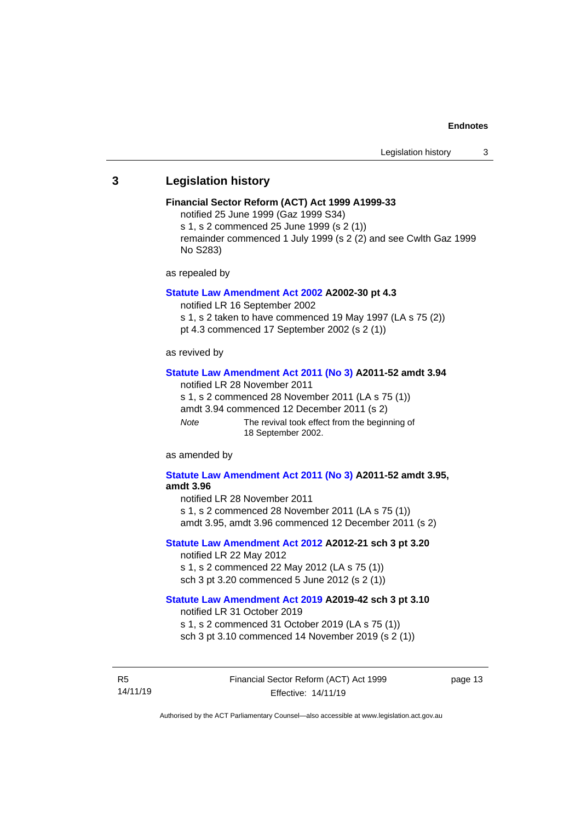### <span id="page-16-0"></span>**3 Legislation history**

#### **Financial Sector Reform (ACT) Act 1999 A1999-33**

notified 25 June 1999 (Gaz 1999 S34)

s 1, s 2 commenced 25 June 1999 (s 2 (1))

remainder commenced 1 July 1999 (s 2 (2) and see Cwlth Gaz 1999 No S283)

as repealed by

#### **[Statute Law Amendment Act 2002](http://www.legislation.act.gov.au/a/2002-30) A2002-30 pt 4.3**

notified LR 16 September 2002

s 1, s 2 taken to have commenced 19 May 1997 (LA s 75 (2))

pt 4.3 commenced 17 September 2002 (s 2 (1))

as revived by

#### **[Statute Law Amendment Act 2011 \(No](http://www.legislation.act.gov.au/a/2011-52) 3) A2011-52 amdt 3.94**

notified LR 28 November 2011

s 1, s 2 commenced 28 November 2011 (LA s 75 (1))

amdt 3.94 commenced 12 December 2011 (s 2)

*Note* The revival took effect from the beginning of 18 September 2002.

as amended by

#### **[Statute Law Amendment Act 2011 \(No](http://www.legislation.act.gov.au/a/2011-52) 3) A2011-52 amdt 3.95, amdt 3.96**

notified LR 28 November 2011

s 1, s 2 commenced 28 November 2011 (LA s 75 (1)) amdt 3.95, amdt 3.96 commenced 12 December 2011 (s 2)

### **[Statute Law Amendment Act 2012](http://www.legislation.act.gov.au/a/2012-21) A2012-21 sch 3 pt 3.20** notified LR 22 May 2012

s 1, s 2 commenced 22 May 2012 (LA s 75 (1)) sch 3 pt 3.20 commenced 5 June 2012 (s 2 (1))

#### **[Statute Law Amendment Act 2019](http://www.legislation.act.gov.au/a/2019-42) A2019-42 sch 3 pt 3.10**

notified LR 31 October 2019 s 1, s 2 commenced 31 October 2019 (LA s 75 (1)) sch 3 pt 3.10 commenced 14 November 2019 (s 2 (1))

R5 14/11/19 Financial Sector Reform (ACT) Act 1999 Effective: 14/11/19

page 13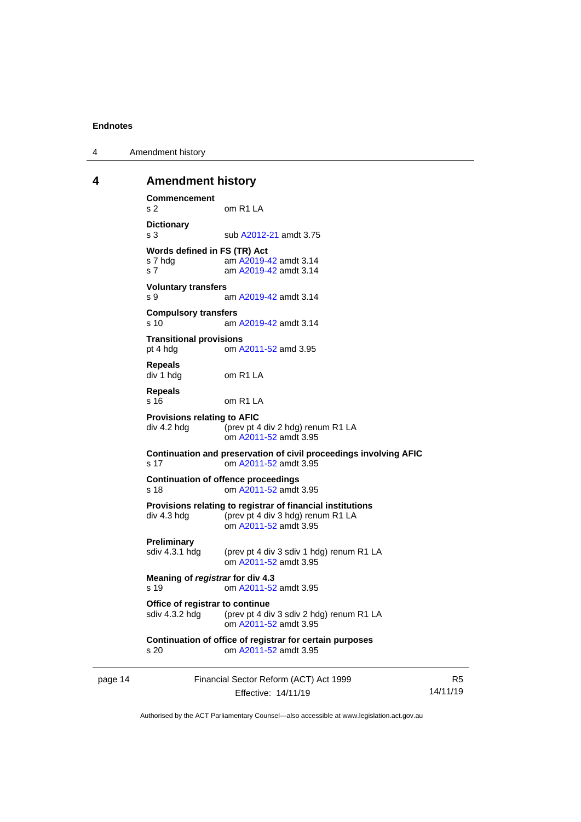4 Amendment history

### <span id="page-17-0"></span>**4 Amendment history**

**Commencement** s 2 om R1 LA **Dictionary** s 3 sub [A2012-21](http://www.legislation.act.gov.au/a/2012-21) amdt 3.75 **Words defined in FS (TR) Act**<br>s 7 hdg am A2019-4 am [A2019-42](http://www.legislation.act.gov.au/a/2019-42/default.asp) amdt 3.14 s 7 am [A2019-42](http://www.legislation.act.gov.au/a/2019-42/default.asp) amdt 3.14 **Voluntary transfers** s 9 am [A2019-42](http://www.legislation.act.gov.au/a/2019-42/default.asp) amdt 3.14 **Compulsory transfers** s 10 am [A2019-42](http://www.legislation.act.gov.au/a/2019-42/default.asp) amdt 3.14 **Transitional provisions**<br>pt 4 hdg om A om [A2011-52](http://www.legislation.act.gov.au/a/2011-52) amd 3.95 **Repeals** div 1 hdg om R1 LA **Repeals** s 16 om R1 LA **Provisions relating to AFIC** div 4.2 hdg (prev pt 4 div 2 hdg) renum R1 LA om [A2011-52](http://www.legislation.act.gov.au/a/2011-52) amdt 3.95 **Continuation and preservation of civil proceedings involving AFIC** s 17 om [A2011-52](http://www.legislation.act.gov.au/a/2011-52) amdt 3.95 **Continuation of offence proceedings** s 18 om [A2011-52](http://www.legislation.act.gov.au/a/2011-52) amdt 3.95 **Provisions relating to registrar of financial institutions** div 4.3 hdg (prev pt 4 div 3 hdg) renum R1 LA om [A2011-52](http://www.legislation.act.gov.au/a/2011-52) amdt 3.95 **Preliminary**<br>sdiv 4.3.1 hdg (prev pt 4 div 3 sdiv 1 hdg) renum R1 LA om [A2011-52](http://www.legislation.act.gov.au/a/2011-52) amdt 3.95 **Meaning of** *registrar* **for div 4.3** s 19 om [A2011-52](http://www.legislation.act.gov.au/a/2011-52) amdt 3.95 **Office of registrar to continue**<br>sdiv 4.3.2 hdg (prev pt 4 di (prev pt 4 div 3 sdiv 2 hdg) renum R1 LA om [A2011-52](http://www.legislation.act.gov.au/a/2011-52) amdt 3.95 **Continuation of office of registrar for certain purposes** s 20 om [A2011-52](http://www.legislation.act.gov.au/a/2011-52) amdt 3.95

| Financial Sector Reform (ACT) Act 1999 | R5       |
|----------------------------------------|----------|
| Effective: 14/11/19                    | 14/11/19 |
|                                        |          |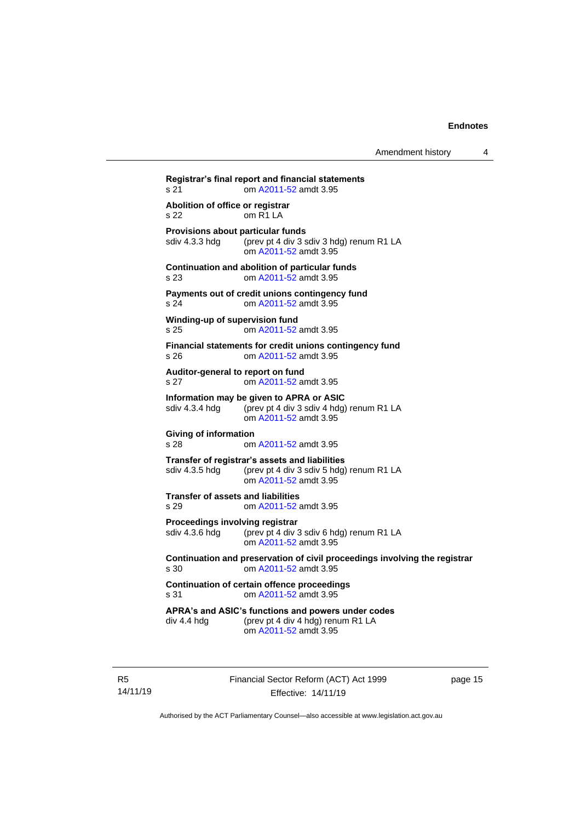| s 21                                                 | om A2011-52 amdt 3.95                                                                                               |
|------------------------------------------------------|---------------------------------------------------------------------------------------------------------------------|
| Abolition of office or registrar<br>s 22             | om R <sub>1</sub> L <sub>A</sub>                                                                                    |
| Provisions about particular funds<br>sdiv 4.3.3 hdg  | (prev pt 4 div 3 sdiv 3 hdg) renum R1 LA<br>om A2011-52 amdt 3.95                                                   |
| s 23                                                 | Continuation and abolition of particular funds<br>om A2011-52 amdt 3.95                                             |
| s 24                                                 | Payments out of credit unions contingency fund<br>om A2011-52 amdt 3.95                                             |
| Winding-up of supervision fund<br>s 25               | om A2011-52 amdt 3.95                                                                                               |
| s 26                                                 | Financial statements for credit unions contingency fund<br>om A2011-52 amdt 3.95                                    |
| Auditor-general to report on fund<br>s <sub>27</sub> | om A2011-52 amdt 3.95                                                                                               |
| sdiv 4.3.4 hdg                                       | Information may be given to APRA or ASIC<br>(prev pt 4 div 3 sdiv 4 hdg) renum R1 LA<br>om A2011-52 amdt 3.95       |
| <b>Giving of information</b><br>s 28                 | om A2011-52 amdt 3.95                                                                                               |
| sdiv 4.3.5 hdg                                       | Transfer of registrar's assets and liabilities<br>(prev pt 4 div 3 sdiv 5 hdg) renum R1 LA<br>om A2011-52 amdt 3.95 |
| <b>Transfer of assets and liabilities</b><br>s 29    | om A2011-52 amdt 3.95                                                                                               |
| Proceedings involving registrar<br>sdiv 4.3.6 hdg    | (prev pt 4 div 3 sdiv 6 hdg) renum R1 LA<br>om A2011-52 amdt 3.95                                                   |
| s 30                                                 | Continuation and preservation of civil proceedings involving the registrar<br>om A2011-52 amdt 3.95                 |
| s 31                                                 | <b>Continuation of certain offence proceedings</b><br>om A2011-52 amdt 3.95                                         |
| div 4.4 hdg                                          | APRA's and ASIC's functions and powers under codes<br>(prev pt 4 div 4 hdg) renum R1 LA<br>om A2011-52 amdt 3.95    |

R5 14/11/19 Financial Sector Reform (ACT) Act 1999 Effective: 14/11/19

page 15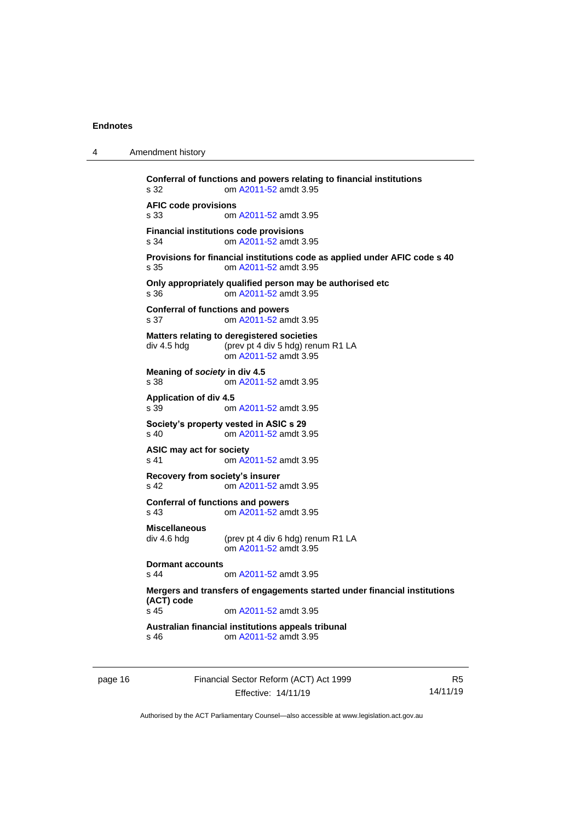4 Amendment history

| s 32                                             | Conferral of functions and powers relating to financial institutions<br>om A2011-52 amdt 3.95            |
|--------------------------------------------------|----------------------------------------------------------------------------------------------------------|
| <b>AFIC code provisions</b><br>s 33              | om A2011-52 amdt 3.95                                                                                    |
| s 34                                             | <b>Financial institutions code provisions</b><br>om A2011-52 amdt 3.95                                   |
| s 35                                             | Provisions for financial institutions code as applied under AFIC code s 40<br>om A2011-52 amdt 3.95      |
| s 36                                             | Only appropriately qualified person may be authorised etc<br>om A2011-52 amdt 3.95                       |
| <b>Conferral of functions and powers</b><br>s 37 | om A2011-52 amdt 3.95                                                                                    |
| div 4.5 hdg                                      | Matters relating to deregistered societies<br>(prev pt 4 div 5 hdg) renum R1 LA<br>om A2011-52 amdt 3.95 |
| Meaning of society in div 4.5<br>s 38            | om A2011-52 amdt 3.95                                                                                    |
| <b>Application of div 4.5</b><br>s 39            | om A2011-52 amdt 3.95                                                                                    |
| s 40                                             | Society's property vested in ASIC s 29<br>om A2011-52 amdt 3.95                                          |
| ASIC may act for society<br>s 41                 | om A2011-52 amdt 3.95                                                                                    |
| Recovery from society's insurer<br>s 42          | om A2011-52 amdt 3.95                                                                                    |
| <b>Conferral of functions and powers</b><br>s 43 | om A2011-52 amdt 3.95                                                                                    |
| <b>Miscellaneous</b><br>div 4.6 hdg              | (prev pt 4 div 6 hdg) renum R1 LA<br>om A2011-52 amdt 3.95                                               |
| <b>Dormant accounts</b><br>s 44                  | om A2011-52 amdt 3.95                                                                                    |
| (ACT) code<br>s <sub>45</sub>                    | Mergers and transfers of engagements started under financial institutions<br>om A2011-52 amdt 3.95       |
| s 46                                             | Australian financial institutions appeals tribunal<br>om A2011-52 amdt 3.95                              |
|                                                  |                                                                                                          |

| page 16 |  |
|---------|--|
|---------|--|

16 Financial Sector Reform (ACT) Act 1999 Effective: 14/11/19

R5 14/11/19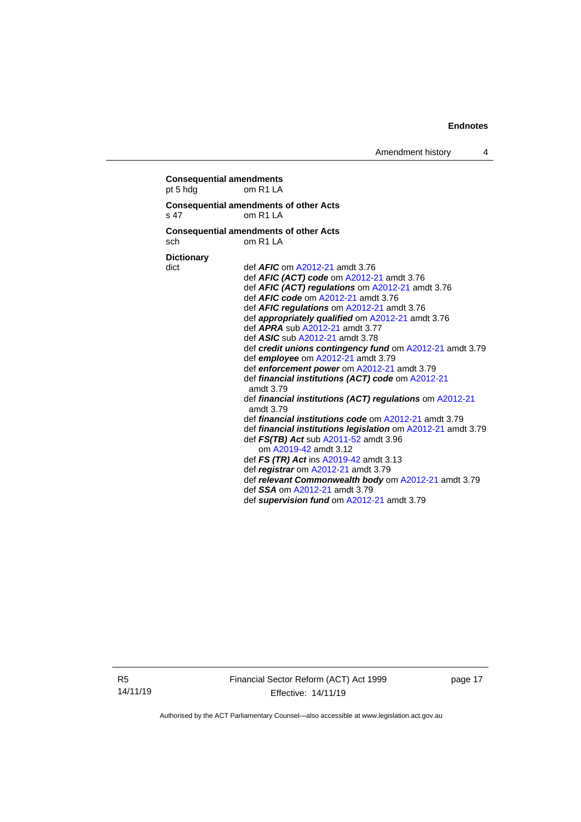**Consequential amendments** pt 5 hdg om R1 LA **Consequential amendments of other Acts** s 47 om R1 LA **Consequential amendments of other Acts** sch om R1 LA **Dictionary** dict def *AFIC* o[m A2012-21](http://www.legislation.act.gov.au/a/2012-21) amdt 3.76 def *AFIC (ACT) code* om [A2012-21](http://www.legislation.act.gov.au/a/2012-21) amdt 3.76 def *AFIC (ACT) regulations* o[m A2012-21](http://www.legislation.act.gov.au/a/2012-21) amdt 3.76 def *AFIC code* om [A2012-21](http://www.legislation.act.gov.au/a/2012-21) amdt 3.76 def *AFIC regulations* o[m A2012-21](http://www.legislation.act.gov.au/a/2012-21) amdt 3.76 def *appropriately qualified* om [A2012-21](http://www.legislation.act.gov.au/a/2012-21) amdt 3.76 def *APRA* sub [A2012-21](http://www.legislation.act.gov.au/a/2012-21) amdt 3.77 def *ASIC* sub [A2012-21](http://www.legislation.act.gov.au/a/2012-21) amdt 3.78 def *credit unions contingency fund* o[m A2012-21](http://www.legislation.act.gov.au/a/2012-21) amdt 3.79 def *employee* om [A2012-21](http://www.legislation.act.gov.au/a/2012-21) amdt 3.79 def *enforcement power* o[m A2012-21](http://www.legislation.act.gov.au/a/2012-21) amdt 3.79 def *financial institutions (ACT) code* o[m A2012-21](http://www.legislation.act.gov.au/a/2012-21) amdt 3.79 def *financial institutions (ACT) regulations* om [A2012-21](http://www.legislation.act.gov.au/a/2012-21) amdt 3.79 def *financial institutions code* o[m A2012-21](http://www.legislation.act.gov.au/a/2012-21) amdt 3.79 def *financial institutions legislation* om [A2012-21](http://www.legislation.act.gov.au/a/2012-21) amdt 3.79 def *FS(TB) Act* sub [A2011-52](http://www.legislation.act.gov.au/a/2011-52) amdt 3.96 om [A2019-42](http://www.legislation.act.gov.au/a/2019-42/default.asp) amdt 3.12 def *FS (TR) Act* in[s A2019-42](http://www.legislation.act.gov.au/a/2019-42/default.asp) amdt 3.13 def *registrar* om [A2012-21](http://www.legislation.act.gov.au/a/2012-21) amdt 3.79 def *relevant Commonwealth body* o[m A2012-21](http://www.legislation.act.gov.au/a/2012-21) amdt 3.79 def *SSA* om [A2012-21](http://www.legislation.act.gov.au/a/2012-21) amdt 3.79 def *supervision fund* om [A2012-21](http://www.legislation.act.gov.au/a/2012-21) amdt 3.79

R5 14/11/19 Financial Sector Reform (ACT) Act 1999 Effective: 14/11/19

page 17